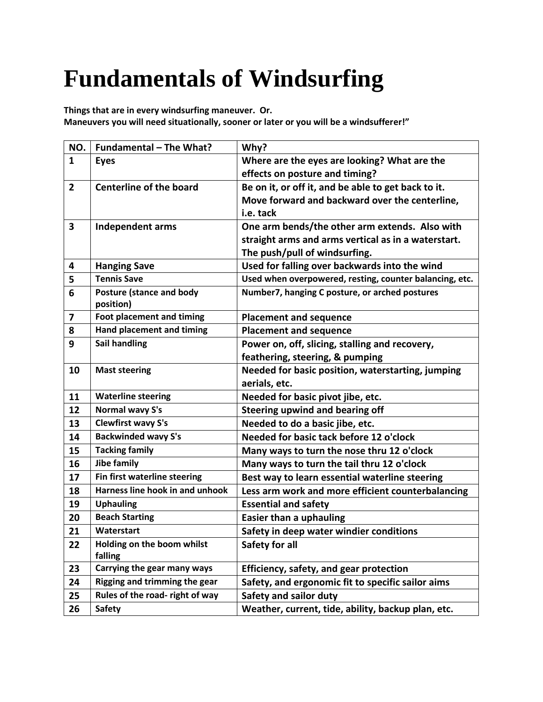## **Fundamentals of Windsurfing**

**Things that are in every windsurfing maneuver. Or. Maneuvers you will need situationally, sooner or later or you will be a windsufferer!"** 

| NO.            | Fundamental - The What?                      | Why?                                                    |
|----------------|----------------------------------------------|---------------------------------------------------------|
| $\mathbf{1}$   | <b>Eyes</b>                                  | Where are the eyes are looking? What are the            |
|                |                                              | effects on posture and timing?                          |
| $\overline{2}$ | <b>Centerline of the board</b>               | Be on it, or off it, and be able to get back to it.     |
|                |                                              | Move forward and backward over the centerline,          |
|                |                                              | i.e. tack                                               |
| 3              | <b>Independent arms</b>                      | One arm bends/the other arm extends. Also with          |
|                |                                              | straight arms and arms vertical as in a waterstart.     |
|                |                                              | The push/pull of windsurfing.                           |
| 4              | <b>Hanging Save</b>                          | Used for falling over backwards into the wind           |
| 5              | <b>Tennis Save</b>                           | Used when overpowered, resting, counter balancing, etc. |
| 6              | <b>Posture (stance and body</b><br>position) | Number7, hanging C posture, or arched postures          |
| 7              | Foot placement and timing                    | <b>Placement and sequence</b>                           |
| 8              | <b>Hand placement and timing</b>             | <b>Placement and sequence</b>                           |
| 9              | <b>Sail handling</b>                         | Power on, off, slicing, stalling and recovery,          |
|                |                                              | feathering, steering, & pumping                         |
| 10             | <b>Mast steering</b>                         | Needed for basic position, waterstarting, jumping       |
|                |                                              | aerials, etc.                                           |
| 11             | <b>Waterline steering</b>                    | Needed for basic pivot jibe, etc.                       |
| 12             | Normal wavy S's                              | Steering upwind and bearing off                         |
| 13             | <b>Clewfirst wavy S's</b>                    | Needed to do a basic jibe, etc.                         |
| 14             | <b>Backwinded wavy S's</b>                   | Needed for basic tack before 12 o'clock                 |
| 15             | <b>Tacking family</b>                        | Many ways to turn the nose thru 12 o'clock              |
| 16             | Jibe family                                  | Many ways to turn the tail thru 12 o'clock              |
| 17             | Fin first waterline steering                 | Best way to learn essential waterline steering          |
| 18             | Harness line hook in and unhook              | Less arm work and more efficient counterbalancing       |
| 19             | <b>Uphauling</b>                             | <b>Essential and safety</b>                             |
| 20             | <b>Beach Starting</b>                        | <b>Easier than a uphauling</b>                          |
| 21             | Waterstart                                   | Safety in deep water windier conditions                 |
| 22             | Holding on the boom whilst                   | Safety for all                                          |
|                | falling                                      |                                                         |
| 23             | Carrying the gear many ways                  | Efficiency, safety, and gear protection                 |
| 24             | <b>Rigging and trimming the gear</b>         | Safety, and ergonomic fit to specific sailor aims       |
| 25             | Rules of the road- right of way              | Safety and sailor duty                                  |
| 26             | <b>Safety</b>                                | Weather, current, tide, ability, backup plan, etc.      |